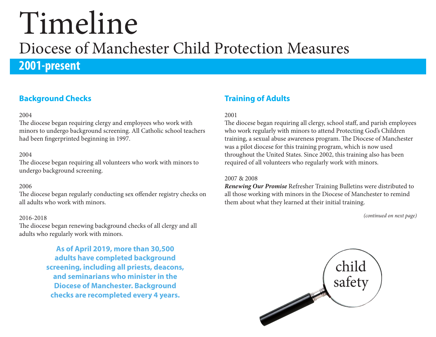## **2001-present**

### **Background Checks**

#### 2004

The diocese began requiring clergy and employees who work with minors to undergo background screening. All Catholic school teachers had been fingerprinted beginning in 1997.

#### 2004

The diocese began requiring all volunteers who work with minors to undergo background screening.

#### 2006

The diocese began regularly conducting sex offender registry checks on all adults who work with minors.

#### 2016-2018

The diocese began renewing background checks of all clergy and all adults who regularly work with minors.

> **As of April 2019, more than 30,500 adults have completed background screening, including all priests, deacons, and seminarians who minister in the Diocese of Manchester. Background checks are recompleted every 4 years.**

### **Training of Adults**

#### 2001

The diocese began requiring all clergy, school staff, and parish employees who work regularly with minors to attend Protecting God's Children training, a sexual abuse awareness program. The Diocese of Manchester was a pilot diocese for this training program, which is now used throughout the United States. Since 2002, this training also has been required of all volunteers who regularly work with minors.

#### 2007 & 2008

*Renewing Our Promise* Refresher Training Bulletins were distributed to all those working with minors in the Diocese of Manchester to remind them about what they learned at their initial training.

*(continued on next page)*

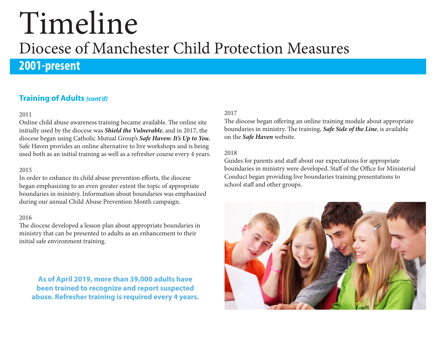## **2001-present**

### **Training of Adults** *(cont'd)*

#### 2011

Online child abuse awareness training became available. The online site initially used by the diocese was *Shield the Vulnerable*, and in 2017, the diocese began using Catholic Mutual Group's *Safe Haven: It's Up to You.* Safe Haven provides an online alternative to live workshops and is being used both as an initial training as well as a refresher course every 4 years.

#### 2015

In order to enhance its child abuse prevention efforts, the diocese began emphasizing to an even greater extent the topic of appropriate boundaries in ministry. Information about boundaries was emphasized during our annual Child Abuse Prevention Month campaign.

#### 2016

The diocese developed a lesson plan about appropriate boundaries in ministry that can be presented to adults as an enhancement to their initial safe environment training.

**As of April 2019, more than 39,000 adults have been trained to recognize and report suspected abuse. Refresher training is required every 4 years.** 

#### 2017

The diocese began offering an online training module about appropriate boundaries in ministry. The training, *Safe Side of the Line*, is available on the *Safe Haven* website.

#### 2018

Guides for parents and staff about our expectations for appropriate boundaries in ministry were developed. Staff of the Office for Ministerial Conduct began providing live boundaries training presentations to school staff and other groups.

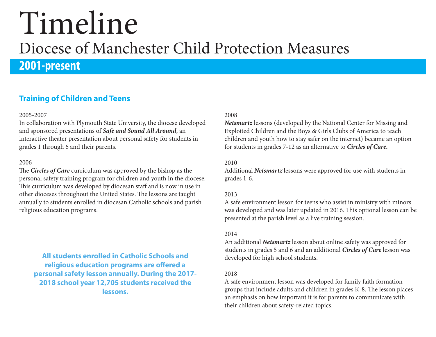# **2001-present**

### **Training of Children and Teens**

#### 2005-2007

In collaboration with Plymouth State University, the diocese developed and sponsored presentations of *Safe and Sound All Around*, an interactive theater presentation about personal safety for students in grades 1 through 6 and their parents.

#### 2006

The *Circles of Care* curriculum was approved by the bishop as the personal safety training program for children and youth in the diocese. This curriculum was developed by diocesan staff and is now in use in other dioceses throughout the United States. The lessons are taught annually to students enrolled in diocesan Catholic schools and parish religious education programs.

**All students enrolled in Catholic Schools and religious education programs are offered a personal safety lesson annually. During the 2017- 2018 school year 12,705 students received the lessons.**

#### 2008

*Netsmartz* lessons (developed by the National Center for Missing and Exploited Children and the Boys & Girls Clubs of America to teach children and youth how to stay safer on the internet) became an option for students in grades 7-12 as an alternative to *Circles of Care.*

#### 2010

Additional *Netsmartz* lessons were approved for use with students in grades 1-6.

#### 2013

A safe environment lesson for teens who assist in ministry with minors was developed and was later updated in 2016. This optional lesson can be presented at the parish level as a live training session.

#### 2014

An additional *Netsmartz* lesson about online safety was approved for students in grades 5 and 6 and an additional *Circles of Care* lesson was developed for high school students.

#### 2018

A safe environment lesson was developed for family faith formation groups that include adults and children in grades K-8. The lesson places an emphasis on how important it is for parents to communicate with their children about safety-related topics.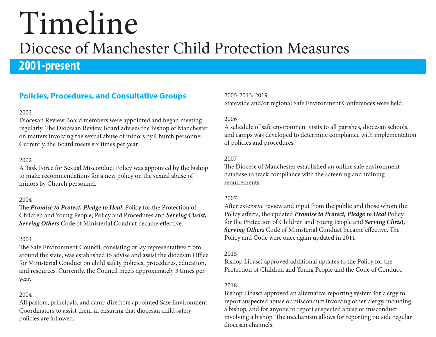## **2001-present**

### **Policies, Procedures, and Consultative Groups**

#### 2002

Diocesan Review Board members were appointed and began meeting regularly. The Diocesan Review Board advises the Bishop of Manchester on matters involving the sexual abuse of minors by Church personnel. Currently, the Board meets six times per year.

#### 2002

A Task Force for Sexual Misconduct Policy was appointed by the bishop to make recommendations for a new policy on the sexual abuse of minors by Church personnel.

#### 2004

The *Promise to Protect, Pledge to Heal*: Policy for the Protection of Children and Young People, Policy and Procedures and *Serving Christ, Serving Others* Code of Ministerial Conduct became effective.

#### 2004

The Safe Environment Council, consisting of lay representatives from around the state, was established to advise and assist the diocesan Office for Ministerial Conduct on child safety policies, procedures, education, and resources. Currently, the Council meets approximately 3 times per year.

#### 2004

All pastors, principals, and camp directors appointed Safe Environment Coordinators to assist them in ensuring that diocesan child safety policies are followed.

2005-2013, 2019 Statewide and/or regional Safe Environment Conferences were held.

#### 2006

A schedule of safe environment visits to all parishes, diocesan schools, and camps was developed to determine compliance with implementation of policies and procedures.

#### 2007

The Diocese of Manchester established an online safe environment database to track compliance with the screening and training requirements.

#### 2007

After extensive review and input from the public and those whom the Policy affects, the updated *Promise to Protect, Pledge to Heal* Policy for the Protection of Children and Young People and *Serving Christ, Serving Others* Code of Ministerial Conduct became effective. The Policy and Code were once again updated in 2011.

#### 2015

Bishop Libasci approved additional updates to the Policy for the Protection of Children and Young People and the Code of Conduct.

#### 2018

Bishop Libasci approved an alternative reporting system for clergy to report suspected abuse or misconduct involving other clergy, including a bishop, and for anyone to report suspected abuse or misconduct involving a bishop. The mechanism allows for reporting outside regular diocesan channels.